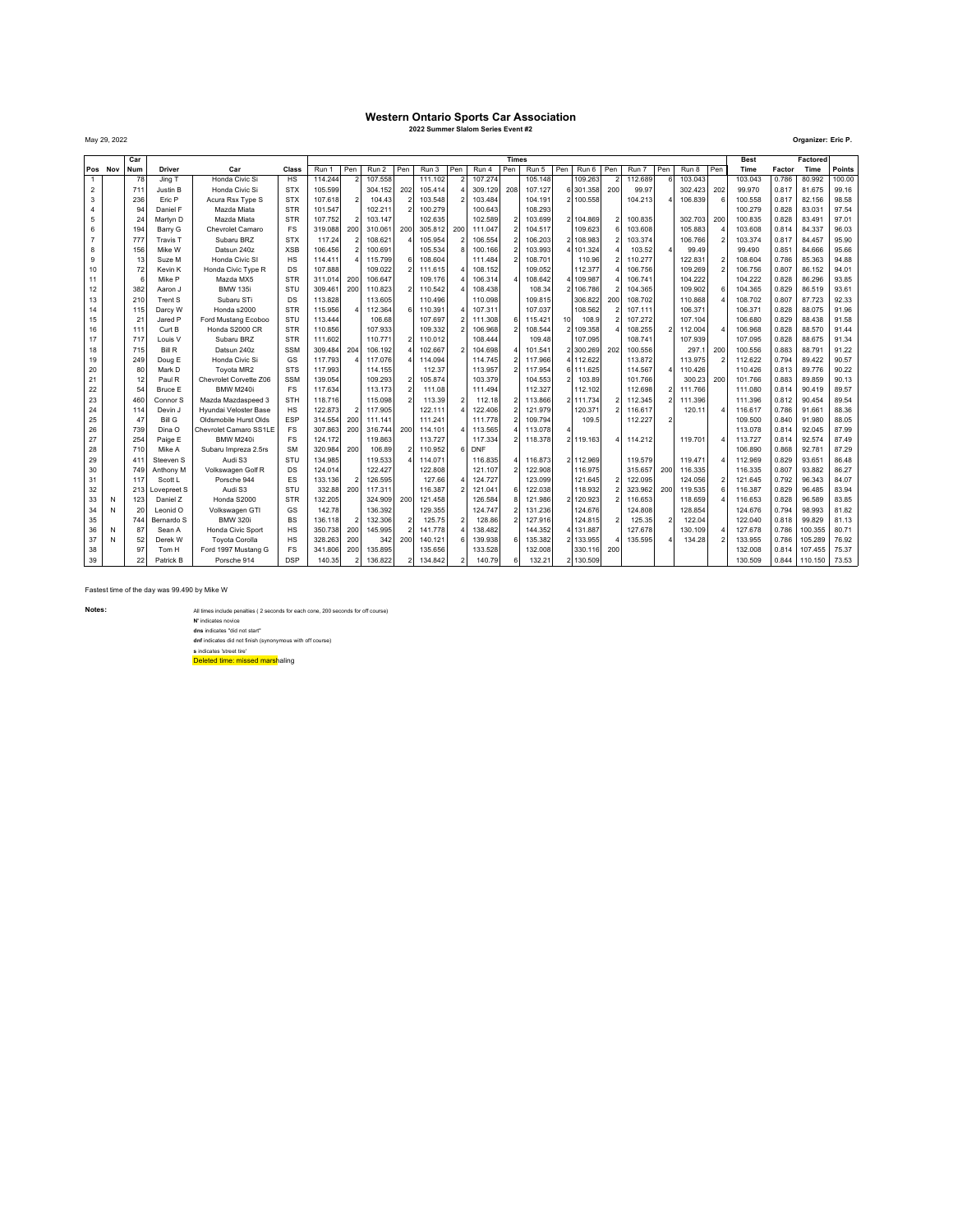## **Western Ontario Sports Car Association 2022 Summer Slalom Series Event #2**

May 29, 2022 **Organizer: Eric P.**

|                  | Car     |                 |                         |                                                 | <b>Times</b>     |                    |                |                    |                          |                    |                          |                       |     |                    |                 |           | <b>Best</b>              |         | Factored                 |         |     |                    |                |                  |                |
|------------------|---------|-----------------|-------------------------|-------------------------------------------------|------------------|--------------------|----------------|--------------------|--------------------------|--------------------|--------------------------|-----------------------|-----|--------------------|-----------------|-----------|--------------------------|---------|--------------------------|---------|-----|--------------------|----------------|------------------|----------------|
|                  | Pos Nov | Num             | <b>Driver</b>           | Car                                             | Class            | Run 1              | Pen            | Run 2              | Pen                      | Run 3              | Pen                      | Run 4                 | Pen | Run 5              | Pen             | Run 6     | Pen                      | Run 7   | Pen                      | Run 8   | Pen | Time               | Factor         | Time             | Points         |
|                  |         | 78              | Jina T                  | Honda Civic Si                                  | <b>HS</b>        | 114.244            | $\overline{a}$ | 107.558            |                          | 111.102            |                          | 107.274               |     | 105.148            |                 | 109.263   | $\overline{\phantom{a}}$ | 112.689 | 6                        | 103.043 |     | 103.043            | 0.786          | 80.992           | 100.00         |
| $\boldsymbol{2}$ |         | 711             | Justin B                | Honda Civic Si                                  | <b>STX</b>       | 105.599            |                | 304.152            | 202                      | 105.414            |                          | 309.129               | 208 | 107.127            |                 | 6 301.358 | 200                      | 99.97   |                          | 302.423 | 202 | 99.970             | 0.817          | 81.675           | 99.16          |
| 3                |         | 236             | Eric P                  | Acura Rsx Type S                                | <b>STX</b>       | 107.618            | $\overline{2}$ | 104.43             |                          | 103.548            |                          | 103,484               |     | 104.191            |                 | 2 100.558 |                          | 104.213 |                          | 106.839 |     | 100.558            | 0.817          | 82.156           | 98.58          |
| $\overline{4}$   |         | 94              | Daniel F                | Mazda Miata                                     | <b>STR</b>       | 101.547            |                | 102.211            | $\overline{2}$           | 100.279            |                          | 100.643               |     | 108.293            |                 |           |                          |         |                          |         |     | 100.279            | 0.828          | 83.031           | 97.54          |
| 5                |         | 24              | Martyn D                | Mazda Miata                                     | <b>STR</b>       | 107.752            |                | 103.147            |                          | 102.635            |                          | 102.589               |     | 103.699            |                 | 2 104.869 |                          | 100.835 |                          | 302.703 | 200 | 100.835            | 0.828          | 83.491           | 97.01          |
| 6                |         | 194             | Barry G                 | Chevrolet Camaro                                | FS               | 319.088            | 200            | 310.061            | 200                      | 305.812            | 200                      | 111.047               |     | 104.517            |                 | 109.623   |                          | 103.608 |                          | 105.883 |     | 103.608            | 0.814          | 84.337           | 96.03          |
| $\overline{7}$   |         | 777             | <b>Travis T</b>         | Subaru BRZ                                      | <b>STX</b>       | 117.24             | $\mathfrak{p}$ | 108.621            |                          | 105.954            | $\overline{\phantom{a}}$ | 106.554               |     | 106.203            |                 | 2 108.983 | $\overline{\phantom{a}}$ | 103.374 |                          | 106.766 |     | 103.374            | 0.817          | 84.457           | 95.90          |
| 8                |         | 156             | Mike W                  | Datsun 240z                                     | <b>XSB</b>       | 106.456            | $\overline{a}$ | 100.691            |                          | 105.534            | $\mathbf{R}$             | 100.166               |     | 103.993            |                 | 4 101.324 |                          | 103.52  |                          | 99.49   |     | 99.490             | 0.851          | 84.666           | 95.66          |
| 9                |         | 13              | Suze M                  | Honda Civic SI                                  | HS               | 114,411            |                | 115,799            | 6                        | 108.604            |                          | 111,484               |     | 108,701            |                 | 110.96    |                          | 110.277 |                          | 122.831 |     | 108.604            | 0.786          | 85.363           | 94.88          |
| 10               |         | 72              | Kevin K                 | Honda Civic Type R                              | DS               | 107.888            |                | 109.022            |                          | 111.615            |                          | 108.152               |     | 109.052            |                 | 112.377   |                          | 106.756 |                          | 109.269 |     | 106.756            | 0.807          | 86.152           | 94.01          |
| 11               |         | $\epsilon$      | Mike P                  | Mazda MX5                                       | <b>STR</b>       | 311.014            | 200            | 106.647            |                          | 109.176            |                          | 106.314               |     | 108.642            |                 | 4 109.987 |                          | 106.741 |                          | 104.222 |     | 104.222            | 0.828          | 86.296           | 93.85          |
| 12               |         | 382             | Aaron J                 | <b>BMW 135i</b>                                 | STU              | 309.461            | 200            | 110.823            | $\overline{\mathbf{c}}$  | 110.542            |                          | 108,438               |     | 108.34             |                 | 2 106.786 |                          | 104.365 |                          | 109.902 |     | 104.365            | 0.829          | 86.519           | 93.61          |
| 13               |         | 210             | Trent S                 | Subaru STi                                      | DS               | 113.828            |                | 113.605            |                          | 110.496            |                          | 110.098               |     | 109.815            |                 | 306.822   | 200                      | 108.702 |                          | 110.868 |     | 108.702            | 0.807          | 87.723           | 92.33          |
| 14               |         | 115             | Darcy W                 | Honda s2000                                     | <b>STR</b>       | 115.956            |                | 112.364            | 6                        | 110,391            |                          | 107.311               |     | 107.037            |                 | 108.562   |                          | 107.111 |                          | 106.371 |     | 106.371            | 0.828          | 88.075           | 91.96          |
| 15               |         | 21              | Jared P                 | Ford Mustang Ecoboo                             | STU              | 113,444            |                | 106.68             |                          | 107.697            |                          | 111.308               |     | 115.421            | 10 <sup>1</sup> | 108.9     |                          | 107.272 |                          | 107.104 |     | 106,680            | 0.829          | 88.438           | 91.58          |
| 16               |         | 11 <sup>1</sup> | Curt B                  | Honda S2000 CR                                  | <b>STR</b>       | 110.856            |                | 107.933            |                          | 109.332            |                          | 106.968               |     | 108.544            |                 | 109.358   |                          | 108.255 |                          | 112.004 |     | 106.968            | 0.828          | 88.570           | 91.44          |
| 17               |         | 717             | Louis <sub>V</sub>      | Subaru BRZ                                      | <b>STR</b>       | 111.602            |                | 110.771            | $\overline{\phantom{a}}$ | 110.012            |                          | 108.444               |     | 109.48             |                 | 107.095   |                          | 108.741 |                          | 107.939 |     | 107.095            | 0.828          | 88.675           | 91.34          |
| 18               |         | 715             | <b>Bill R</b>           | Datsun 240z                                     | <b>SSM</b>       | 309.484            | 204            | 106.192            |                          | 102.667            |                          | 104.698               |     | 101.541            |                 | 2300.269  | 202                      | 100.556 |                          | 297.1   | 200 | 100.556            | 0.883          | 88.791           | 91.22          |
| 19               |         | 249             | Doug E                  | Honda Civic Si                                  | GS               | 117.793            |                | 117.076            |                          | 114.094            |                          | 114,745               |     | 117,966            |                 | 4 112.622 |                          | 113.872 |                          | 113.975 |     | 112.622            | 0.794          | 89.422           | 90.57          |
| 20               |         | 80              | Mark D                  | Toyota MR2                                      | <b>STS</b>       | 117,993            |                | 114.155            |                          | 112.37             |                          | 113.957               |     | 117.954            |                 | 6 111.625 |                          | 114.567 |                          | 110.426 |     | 110.426            | 0.813          | 89.776           | 90.22          |
| 21               |         | 12              | Paul R                  | Chevrolet Corvette Z06                          | <b>SSM</b>       | 139.054            |                | 109.293            | $\overline{\phantom{a}}$ | 105.874            |                          | 103.379               |     | 104.553            |                 | 103.89    |                          | 101.766 |                          | 300.23  | 200 | 101.766            | 0.883          | 89.859           | 90.13          |
| 22               |         | 54              | Bruce E                 | <b>BMW M240i</b>                                | <b>FS</b>        | 117.634            |                | 113.173            | $\overline{a}$           | 111.08             |                          | 111,494               |     | 112.327            |                 | 112.102   |                          | 112.698 | $\overline{2}$           | 111.766 |     | 111.080            | 0.814          | 90.419           | 89.57          |
| 23               |         | 460             | Connor S                | Mazda Mazdaspeed 3                              | STH              | 118,716            |                | 115.098            |                          | 113.39             | $\overline{\phantom{a}}$ | 112.18                |     | 113,866            |                 | 2 111.734 | $\mathfrak{p}$           | 112.345 | $\overline{\phantom{a}}$ | 111.396 |     | 111.396            | 0.812          | 90.454           | 89.54          |
| 24               |         | 114             | Devin J                 | Hvundai Veloster Base                           | <b>HS</b>        | 122.873            |                | 117,905            |                          | 122.111            |                          | 122,406               |     | 121.979            |                 | 120.371   |                          | 116,617 |                          | 120.11  |     | 116,617            | 0.786          | 91.661           | 88.36          |
| 25               |         | 47<br>739       | <b>Bill G</b><br>Dina O | Oldsmobile Hurst Olds<br>Chevrolet Camaro SS1LE | ESP<br><b>FS</b> | 314.554<br>307.863 | 200<br>200     | 111.141<br>316,744 | 200                      | 111.241<br>114.101 |                          | 111.778<br>113,565    |     | 109.794<br>113.078 |                 | 109.5     |                          | 112.227 | $\overline{\phantom{a}}$ |         |     | 109.500            | 0.840<br>0.814 | 91.980<br>92.045 | 88.05<br>87.99 |
| 26               |         |                 |                         | <b>BMW M240i</b>                                | FS               |                    |                |                    |                          | 113,727            |                          |                       |     |                    |                 |           |                          |         |                          |         |     | 113.078            |                |                  |                |
| 27<br>28         |         | 254<br>710      | Paige E<br>Mike A       |                                                 | <b>SM</b>        | 124.172<br>320.984 | 200            | 119.863<br>106.89  |                          | 110.952            | 6                        | 117.334<br><b>DNF</b> |     | 118.378            |                 | 2 119.163 |                          | 114.212 |                          | 119.701 |     | 113.727<br>106.890 | 0.814<br>0.868 | 92.574<br>92.781 | 87.49<br>87.29 |
| 29               |         | 41 <sup>°</sup> | Steeven S               | Subaru Impreza 2.5rs<br>Audi S3                 | STU              | 134.985            |                | 119.533            |                          | 114.071            |                          | 116,835               |     | 116,873            |                 | 2 112.969 |                          | 119,579 |                          | 119.471 |     | 112,969            | 0.829          | 93.651           | 86.48          |
| 30               |         | 749             | Anthony M               | Volkswagen Golf R                               | DS               | 124.014            |                | 122.427            |                          | 122.808            |                          | 121.107               |     | 122.908            |                 | 116.975   |                          | 315.657 | 200                      | 116.335 |     | 116.335            | 0.807          | 93.882           | 86.27          |
| 31               |         | 117             | Scott L                 | Porsche 944                                     | ES               | 133.136            | $\overline{a}$ | 126.595            |                          | 127.66             |                          | 124,727               |     | 123.099            |                 | 121.645   | $\mathfrak{p}$           | 122.095 |                          | 124.056 |     | 121.645            | 0.792          | 96.343           | 84.07          |
| 32               |         | 213             | Lovepreet S             | Audi S3                                         | STU              | 332.88             | 200            | 117.311            |                          | 116,387            |                          | 121.041               |     | 122.038            |                 | 118.932   |                          | 323.962 | 200                      | 119,535 |     | 116,387            | 0.829          | 96.485           | 83.94          |
| 33               | N       | 123             | Daniel Z                | Honda S2000                                     | <b>STR</b>       | 132.205            |                | 324.909            | 200                      | 121.458            |                          | 126.584               |     | 121.986            |                 | 2 120.923 |                          | 116.653 |                          | 118,659 |     | 116.653            | 0.828          | 96.589           | 83.85          |
| 34               |         | 20              | Leonid O                | Volkswagen GTI                                  | GS               | 142.78             |                | 136.392            |                          | 129.355            |                          | 124.747               |     | 131.236            |                 | 124.676   |                          | 124.808 |                          | 128.854 |     | 124.676            | 0.794          | 98.993           | 81.82          |
| 35               |         | 744             | Bernardo S              | <b>BMW 320</b>                                  | <b>BS</b>        | 136.118            | $\overline{2}$ | 132,306            | $\overline{\phantom{a}}$ | 125.75             | $\overline{\phantom{a}}$ | 128.86                |     | 127.916            |                 | 124.815   | $\overline{\phantom{a}}$ | 125.35  | $\overline{\phantom{a}}$ | 122.04  |     | 122.040            | 0.818          | 99.829           | 81.13          |
| 36               |         | 87              | Sean A                  | Honda Civic Sport                               | HS               | 350.738            | 200            | 145.995            | $\overline{\mathbf{c}}$  | 141.778            |                          | 138.482               |     | 144.352            |                 | 4 131.887 |                          | 127.678 |                          | 130.109 |     | 127.678            | 0.786          | 100.355          | 80.71          |
| 37               | N       | 52              | Derek W                 | <b>Tovota Corolla</b>                           | HS               | 328.263            | 200            | 342                | 200                      | 140.121            |                          | 139,938               |     | 135.382            |                 | 2 133.955 |                          | 135.595 |                          | 134.28  |     | 133.955            | 0.786          | 105.289          | 76.92          |
| 38               |         | 97              | Tom H                   | Ford 1997 Mustang G                             | FS               | 341.806            | 200            | 135.895            |                          | 135.656            |                          | 133,528               |     | 132.008            |                 | 330.116   | 200                      |         |                          |         |     | 132.008            | 0.814          | 107.455          | 75.37          |
| 39               |         | 22              | Patrick B               | Porsche 914                                     | <b>DSP</b>       | 140.35             | $\mathfrak{p}$ | 136.822            |                          | 134.842            |                          | 140.79                |     | 132.21             |                 | 2 130.509 |                          |         |                          |         |     | 130.509            | 0.844          | 110.150          | 73.53          |
|                  |         |                 |                         |                                                 |                  |                    |                |                    |                          |                    |                          |                       |     |                    |                 |           |                          |         |                          |         |     |                    |                |                  |                |

Fastest time of the day was 99.490 by Mike W

**Notes:** All times include penalties (2 seconds for each cone, 200 seconds for off course)

**N'** indicates novice<br>**dns** indicates "did not start"<br>**dnf** indicates 'street tire'<br>**s** indicates 'street tire'

Deleted time: missed marshaling